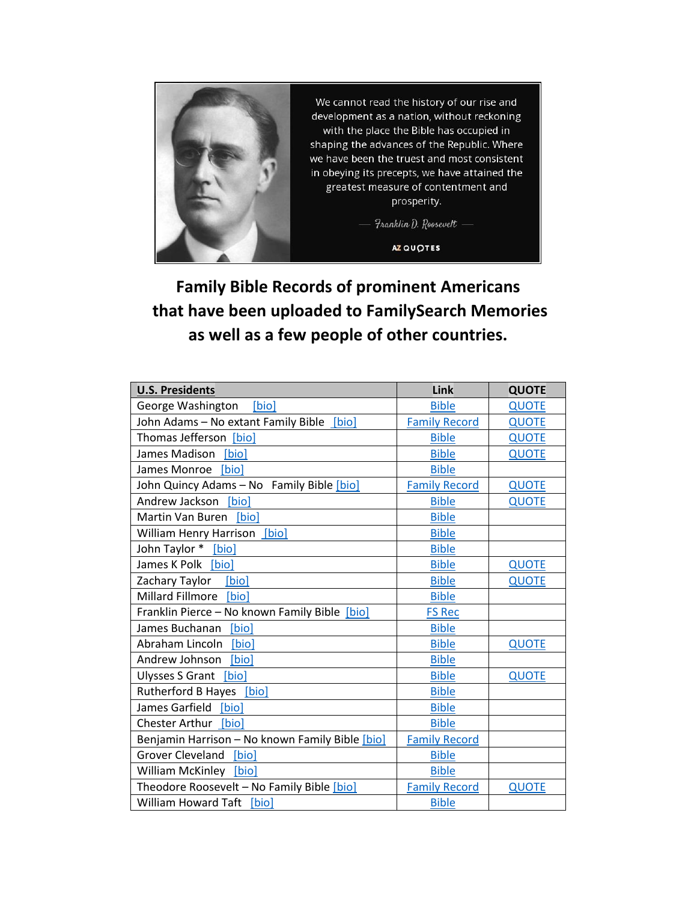

**Family Bible Records of prominent Americans that have been uploaded to FamilySearch Memories as well as a few people of other countries.**

| <b>U.S. Presidents</b>                          | Link                 | <b>QUOTE</b> |
|-------------------------------------------------|----------------------|--------------|
| George Washington<br>[bio]                      | <b>Bible</b>         | <b>QUOTE</b> |
| John Adams - No extant Family Bible [bio]       | <b>Family Record</b> | <b>QUOTE</b> |
| Thomas Jefferson [bio]                          | <b>Bible</b>         | <b>QUOTE</b> |
| James Madison [bio]                             | <b>Bible</b>         | <b>QUOTE</b> |
| James Monroe [bio]                              | <b>Bible</b>         |              |
| John Quincy Adams - No Family Bible [bio]       | <b>Family Record</b> | <b>QUOTE</b> |
| Andrew Jackson [bio]                            | <b>Bible</b>         | <b>QUOTE</b> |
| Martin Van Buren [bio]                          | <b>Bible</b>         |              |
| William Henry Harrison [bio]                    | <b>Bible</b>         |              |
| John Taylor * [bio]                             | <b>Bible</b>         |              |
| James K Polk [bio]                              | <b>Bible</b>         | <b>QUOTE</b> |
| [bio]<br>Zachary Taylor                         | <b>Bible</b>         | <b>QUOTE</b> |
| Millard Fillmore [bio]                          | <b>Bible</b>         |              |
| Franklin Pierce - No known Family Bible [bio]   | <b>FS Rec</b>        |              |
| James Buchanan<br>[bio]                         | <b>Bible</b>         |              |
| Abraham Lincoln<br>[bio]                        | <b>Bible</b>         | <b>QUOTE</b> |
| Andrew Johnson<br>[bio]                         | <b>Bible</b>         |              |
| Ulysses S Grant [bio]                           | <b>Bible</b>         | <b>QUOTE</b> |
| Rutherford B Hayes [bio]                        | <b>Bible</b>         |              |
| James Garfield [bio]                            | <b>Bible</b>         |              |
| Chester Arthur [bio]                            | <b>Bible</b>         |              |
| Benjamin Harrison - No known Family Bible [bio] | <b>Family Record</b> |              |
| Grover Cleveland [bio]                          | <b>Bible</b>         |              |
| William McKinley [bio]                          | <b>Bible</b>         |              |
| Theodore Roosevelt - No Family Bible [bio]      | <b>Family Record</b> | <b>QUOTE</b> |
| William Howard Taft [bio]                       | <b>Bible</b>         |              |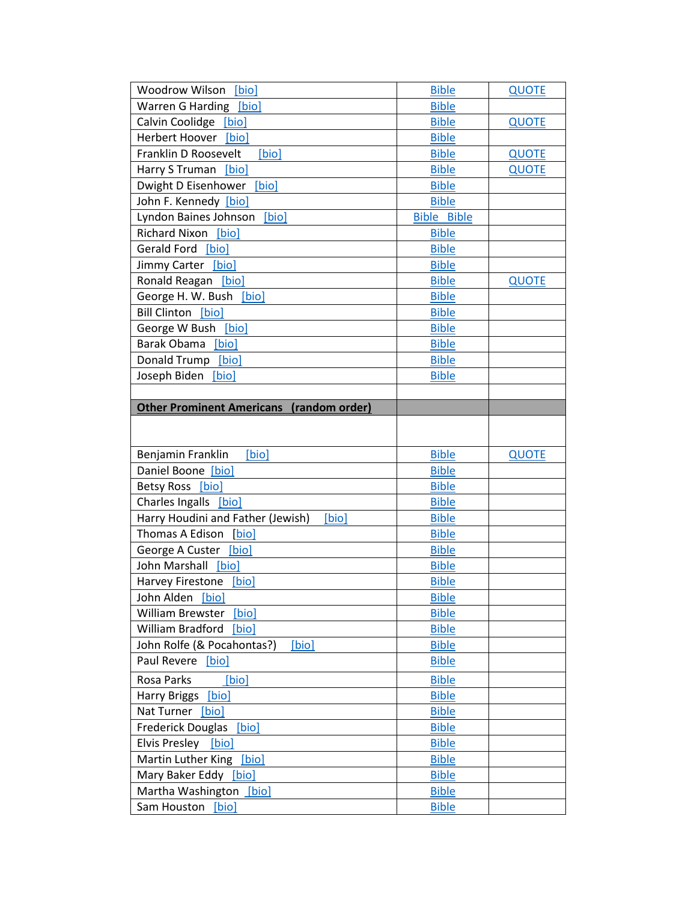| Woodrow Wilson<br><b>[bio]</b>                  | <b>Bible</b>       | <b>QUOTE</b> |
|-------------------------------------------------|--------------------|--------------|
| Warren G Harding [bio]                          | <b>Bible</b>       |              |
| Calvin Coolidge [bio]                           | <b>Bible</b>       | <b>QUOTE</b> |
| <b>Herbert Hoover</b><br>[bio]                  | <b>Bible</b>       |              |
| Franklin D Roosevelt<br>[bio]                   | <b>Bible</b>       | <b>QUOTE</b> |
| Harry S Truman<br>[bio]                         | <b>Bible</b>       | <b>QUOTE</b> |
| Dwight D Eisenhower [bio]                       | <b>Bible</b>       |              |
| John F. Kennedy [bio]                           | <b>Bible</b>       |              |
| Lyndon Baines Johnson<br>[bio]                  | <b>Bible Bible</b> |              |
| Richard Nixon [bio]                             | <b>Bible</b>       |              |
| Gerald Ford [bio]                               | <b>Bible</b>       |              |
| Jimmy Carter [bio]                              | <b>Bible</b>       |              |
| Ronald Reagan [bio]                             | <b>Bible</b>       | <b>QUOTE</b> |
| George H. W. Bush<br>[bio]                      | <b>Bible</b>       |              |
| <b>Bill Clinton</b> [bio]                       | <b>Bible</b>       |              |
| George W Bush [bio]                             | <b>Bible</b>       |              |
| Barak Obama<br>[bio]                            | <b>Bible</b>       |              |
| Donald Trump<br>[bio]                           | <b>Bible</b>       |              |
| Joseph Biden<br>[bio]                           | <b>Bible</b>       |              |
|                                                 |                    |              |
| <b>Other Prominent Americans (random order)</b> |                    |              |
|                                                 |                    |              |
|                                                 |                    |              |
| Benjamin Franklin<br>[bio]                      | <b>Bible</b>       | <b>QUOTE</b> |
| Daniel Boone [bio]                              | <b>Bible</b>       |              |
| Betsy Ross [bio]                                | <b>Bible</b>       |              |
| Charles Ingalls [bio]                           | <b>Bible</b>       |              |
| Harry Houdini and Father (Jewish)<br>[bio]      | <b>Bible</b>       |              |
| Thomas A Edison<br>[bio]                        | <b>Bible</b>       |              |
| George A Custer<br>[bio]                        | <b>Bible</b>       |              |
| John Marshall<br>[bio]                          | <b>Bible</b>       |              |
| Harvey Firestone<br>[bio]                       | <b>Bible</b>       |              |
| John Alden<br>[bio]                             | <b>Bible</b>       |              |
| William Brewster<br>[bio]                       | <b>Bible</b>       |              |
| William Bradford<br>[bio]                       | <b>Bible</b>       |              |
| John Rolfe (& Pocahontas?)<br>[bio]             | <b>Bible</b>       |              |
| Paul Revere [bio]                               | <b>Bible</b>       |              |
| Rosa Parks<br>[bio]                             | <b>Bible</b>       |              |
| <b>Harry Briggs</b><br>[bio]                    | <b>Bible</b>       |              |
| Nat Turner [bio]                                | <b>Bible</b>       |              |
| <b>Frederick Douglas</b><br>[bio]               | <b>Bible</b>       |              |
| Elvis Presley<br>[bio]                          | <b>Bible</b>       |              |
| Martin Luther King [bio]                        | <b>Bible</b>       |              |
| Mary Baker Eddy [bio]                           | <b>Bible</b>       |              |
| Martha Washington<br>[bio]                      | <b>Bible</b>       |              |
| Sam Houston [bio]                               | <b>Bible</b>       |              |
|                                                 |                    |              |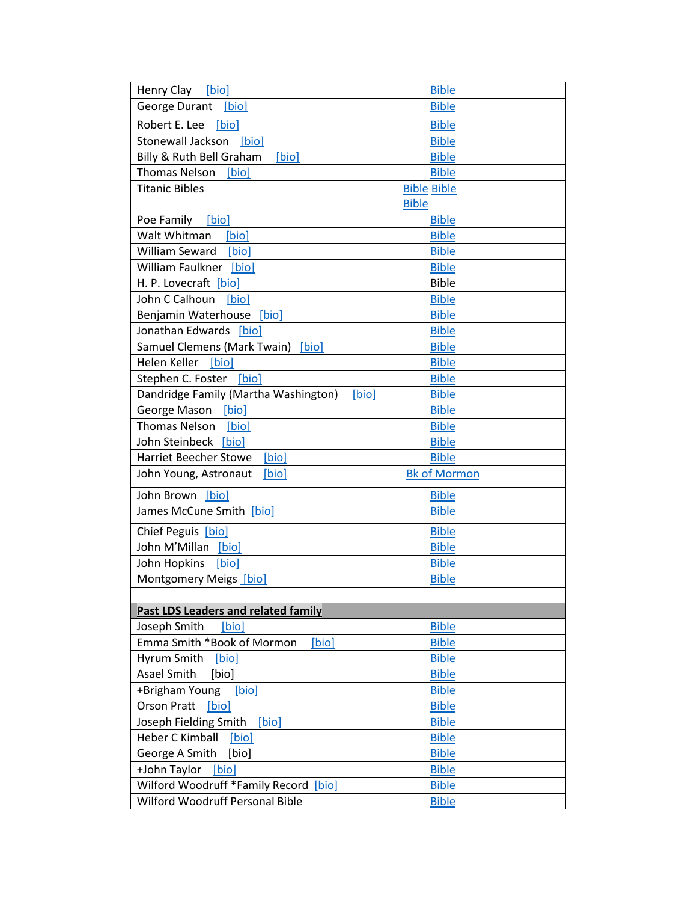| Henry Clay [bio]                              | <b>Bible</b>        |  |
|-----------------------------------------------|---------------------|--|
| George Durant [bio]                           | <b>Bible</b>        |  |
| Robert E. Lee<br>[bio]                        | <b>Bible</b>        |  |
| Stonewall Jackson<br>[bio]                    | <b>Bible</b>        |  |
| Billy & Ruth Bell Graham<br>[bio]             | <b>Bible</b>        |  |
| <b>Thomas Nelson</b><br>[bio]                 | <b>Bible</b>        |  |
| <b>Titanic Bibles</b>                         | <b>Bible Bible</b>  |  |
|                                               | <b>Bible</b>        |  |
| Poe Family<br>[bio]                           | <b>Bible</b>        |  |
| Walt Whitman<br>[bio]                         | <b>Bible</b>        |  |
| William Seward [bio]                          | <b>Bible</b>        |  |
| William Faulkner [bio]                        | <b>Bible</b>        |  |
| H. P. Lovecraft [bio]                         | <b>Bible</b>        |  |
| John C Calhoun<br>[bio]                       | <b>Bible</b>        |  |
| Benjamin Waterhouse<br>[bio]                  | <b>Bible</b>        |  |
| Jonathan Edwards [bio]                        | <b>Bible</b>        |  |
| Samuel Clemens (Mark Twain)<br>[bio]          | <b>Bible</b>        |  |
| Helen Keller<br>[bio]                         | <b>Bible</b>        |  |
| Stephen C. Foster [bio]                       | <b>Bible</b>        |  |
| Dandridge Family (Martha Washington)<br>[bio] | <b>Bible</b>        |  |
| George Mason<br>[bio]                         | <b>Bible</b>        |  |
| <b>Thomas Nelson</b><br>[bio]                 | <b>Bible</b>        |  |
| John Steinbeck [bio]                          | <b>Bible</b>        |  |
| [bio]<br><b>Harriet Beecher Stowe</b>         | <b>Bible</b>        |  |
| John Young, Astronaut<br>[bio]                | <b>Bk</b> of Mormon |  |
| John Brown [bio]                              | <b>Bible</b>        |  |
| James McCune Smith [bio]                      | <b>Bible</b>        |  |
| Chief Peguis [bio]                            | <b>Bible</b>        |  |
| John M'Millan<br>[bio]                        | <b>Bible</b>        |  |
| John Hopkins<br>[bio]                         | <b>Bible</b>        |  |
| Montgomery Meigs [bio]                        | <b>Bible</b>        |  |
|                                               |                     |  |
| <b>Past LDS Leaders and related family</b>    |                     |  |
| Joseph Smith<br>[bio]                         | <b>Bible</b>        |  |
| Emma Smith *Book of Mormon<br>[bio]           | <b>Bible</b>        |  |
| Hyrum Smith<br>[bio]                          | <b>Bible</b>        |  |
| Asael Smith<br>[bio]                          | <b>Bible</b>        |  |
| +Brigham Young<br>[bio]                       | <b>Bible</b>        |  |
| <b>Orson Pratt</b><br>[bio]                   | <b>Bible</b>        |  |
| Joseph Fielding Smith<br>[bio]                | <b>Bible</b>        |  |
| Heber C Kimball<br>[bio]                      | <b>Bible</b>        |  |
| George A Smith<br>[bio]                       | <b>Bible</b>        |  |
| +John Taylor<br>[bio]                         | <b>Bible</b>        |  |
| Wilford Woodruff *Family Record [bio]         | <b>Bible</b>        |  |
| Wilford Woodruff Personal Bible               | <b>Bible</b>        |  |
|                                               |                     |  |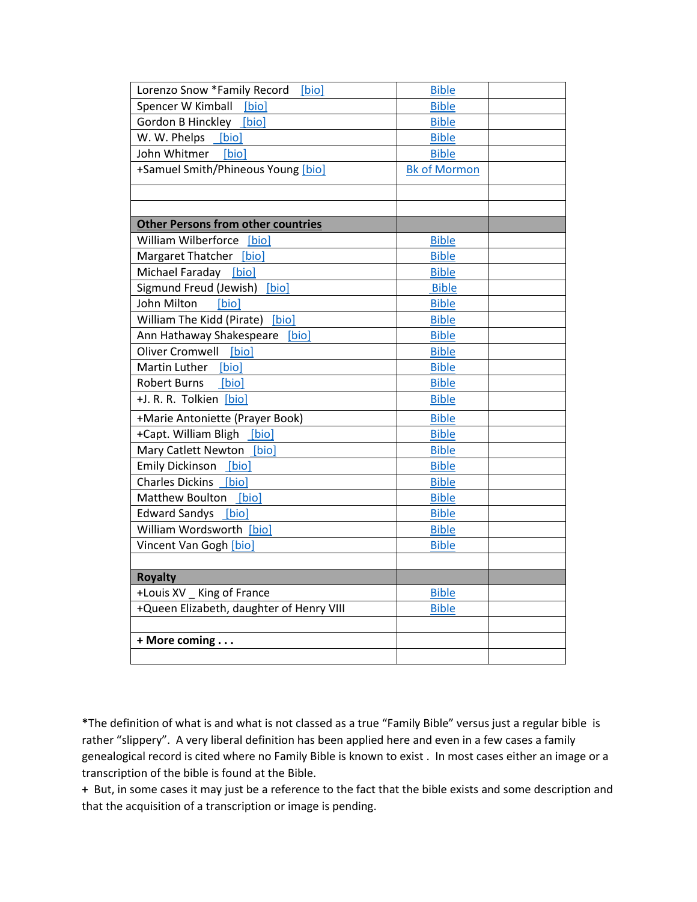| Lorenzo Snow *Family Record<br>[bio]      | <b>Bible</b>        |  |
|-------------------------------------------|---------------------|--|
| Spencer W Kimball [bio]                   | <b>Bible</b>        |  |
| Gordon B Hinckley [bio]                   | <b>Bible</b>        |  |
| W. W. Phelps [bio]                        | <b>Bible</b>        |  |
| John Whitmer<br>[bio]                     | <b>Bible</b>        |  |
| +Samuel Smith/Phineous Young [bio]        | <b>Bk of Mormon</b> |  |
|                                           |                     |  |
|                                           |                     |  |
| <b>Other Persons from other countries</b> |                     |  |
| William Wilberforce [bio]                 | <b>Bible</b>        |  |
| Margaret Thatcher [bio]                   | <b>Bible</b>        |  |
| Michael Faraday [bio]                     | <b>Bible</b>        |  |
| Sigmund Freud (Jewish) [bio]              | <b>Bible</b>        |  |
| John Milton<br>[bio]                      | <b>Bible</b>        |  |
| William The Kidd (Pirate) [bio]           | <b>Bible</b>        |  |
| Ann Hathaway Shakespeare [bio]            | <b>Bible</b>        |  |
| Oliver Cromwell [bio]                     | <b>Bible</b>        |  |
| Martin Luther [bio]                       | <b>Bible</b>        |  |
| <b>Robert Burns</b><br>[bio]              | <b>Bible</b>        |  |
| +J. R. R. Tolkien [bio]                   | <b>Bible</b>        |  |
| +Marie Antoniette (Prayer Book)           | <b>Bible</b>        |  |
| +Capt. William Bligh [bio]                | <b>Bible</b>        |  |
| Mary Catlett Newton [bio]                 | <b>Bible</b>        |  |
| Emily Dickinson [bio]                     | <b>Bible</b>        |  |
| Charles Dickins [bio]                     | <b>Bible</b>        |  |
| Matthew Boulton [bio]                     | <b>Bible</b>        |  |
| Edward Sandys [bio]                       | <b>Bible</b>        |  |
| William Wordsworth [bio]                  | <b>Bible</b>        |  |
| Vincent Van Gogh [bio]                    | <b>Bible</b>        |  |
|                                           |                     |  |
| <b>Royalty</b>                            |                     |  |
| +Louis XV _ King of France                | <b>Bible</b>        |  |
| +Queen Elizabeth, daughter of Henry VIII  | <b>Bible</b>        |  |
|                                           |                     |  |
| + More coming                             |                     |  |
|                                           |                     |  |

**\***The definition of what is and what is not classed as a true "Family Bible" versus just a regular bible is rather "slippery". A very liberal definition has been applied here and even in a few cases a family genealogical record is cited where no Family Bible is known to exist . In most cases either an image or a transcription of the bible is found at the Bible.

**+** But, in some cases it may just be a reference to the fact that the bible exists and some description and that the acquisition of a transcription or image is pending.